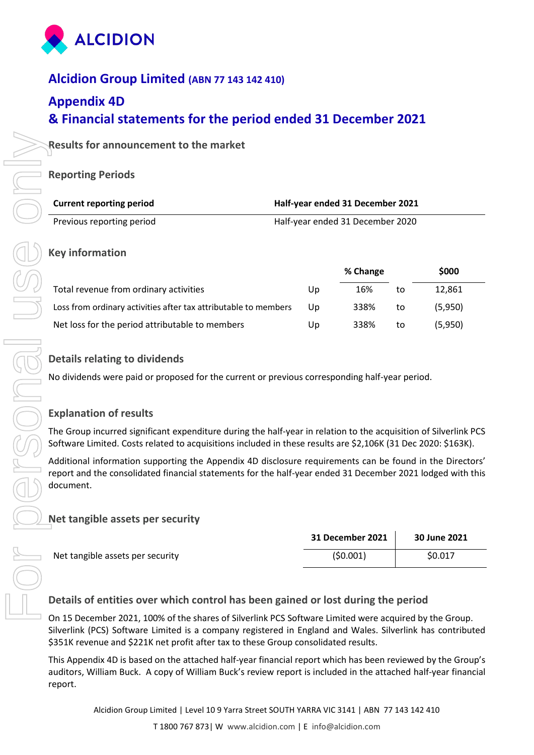

# **Alcidion Group Limited (ABN 77 143 142 410)**

# **Appendix 4D & Financial statements for the period ended 31 December 2021**

# **Results for announcement to the market**

### **Reporting Periods**

| <b>Current reporting period</b> | Half-year ended 31 December 2021 |
|---------------------------------|----------------------------------|
| Previous reporting period       | Half-year ended 31 December 2020 |

### **Key information**

|                                                                 |    | % Change |    | \$000   |
|-----------------------------------------------------------------|----|----------|----|---------|
| Total revenue from ordinary activities                          | Up | 16%      | to | 12.861  |
| Loss from ordinary activities after tax attributable to members | Up | 338%     | to | (5.950) |
| Net loss for the period attributable to members                 | Up | 338%     | to | (5,950) |

### **Details relating to dividends**

No dividends were paid or proposed for the current or previous corresponding half-year period.

# **Explanation of results**

The Group incurred significant expenditure during the half-year in relation to the acquisition of Silverlink PCS Software Limited. Costs related to acquisitions included in these results are \$2,106K (31 Dec 2020: \$163K).

Additional information supporting the Appendix 4D disclosure requirements can be found in the Directors' report and the consolidated financial statements for the half-year ended 31 December 2021 lodged with this document.

# **Net tangible assets per security**

|                                  | 31 December 2021 | 30 June 2021 |
|----------------------------------|------------------|--------------|
| Net tangible assets per security | (50.001)         | \$0.017      |

# **Details of entities over which control has been gained or lost during the period**

On 15 December 2021, 100% of the shares of Silverlink PCS Software Limited were acquired by the Group. Silverlink (PCS) Software Limited is a company registered in England and Wales. Silverlink has contributed \$351K revenue and \$221K net profit after tax to these Group consolidated results.

This Appendix 4D is based on the attached half-year financial report which has been reviewed by the Group's auditors, William Buck. A copy of William Buck's review report is included in the attached half-year financial report.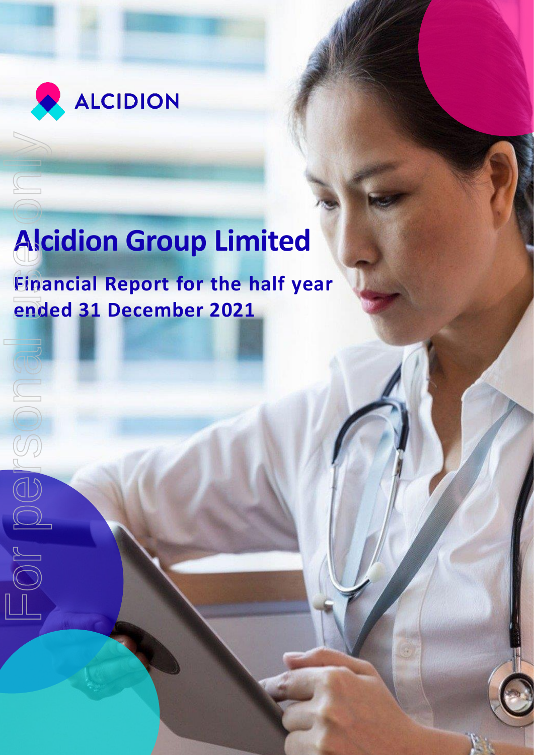

# **Alcidion Group Limited**

**Financial Report for the half year Alcidion Group Lim**<br>Financial Report for the **r**<br>ended 31 December 2021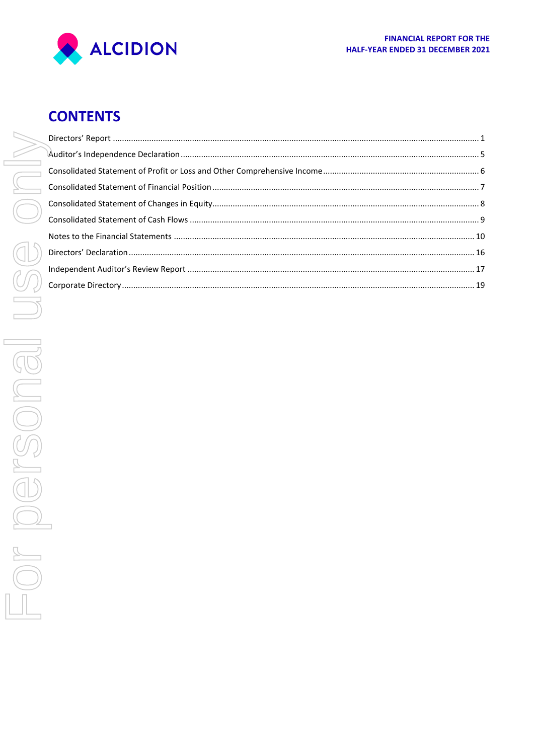

# **CONTENTS**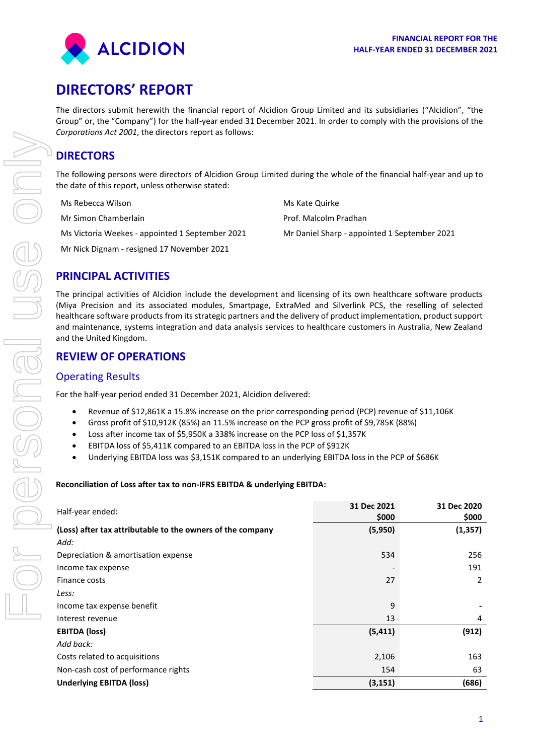

# <span id="page-3-0"></span>**DIRECTORS' REPORT**

The directors submit herewith the financial report of Alcidion Group Limited and its subsidiaries ("Alcidion", "the Group" or, the "Company") for the half-year ended 31 December 2021. In order to comply with the provisions of the *Corporations Act 2001*, the directors report as follows:

# **DIRECTORS**

The following persons were directors of Alcidion Group Limited during the whole of the financial half-year and up to the date of this report, unless otherwise stated:

| Ms Rebecca Wilson                               | Ms Kate Quirke                               |
|-------------------------------------------------|----------------------------------------------|
| Mr Simon Chamberlain                            | Prof. Malcolm Pradhan                        |
| Ms Victoria Weekes - appointed 1 September 2021 | Mr Daniel Sharp - appointed 1 September 2021 |
| Mr Nick Dignam - resigned 17 November 2021      |                                              |

# **PRINCIPAL ACTIVITIES**

The principal activities of Alcidion include the development and licensing of its own healthcare software products (Miya Precision and its associated modules, Smartpage, ExtraMed and Silverlink PCS, the reselling of selected healthcare software products from its strategic partners and the delivery of product implementation, product support and maintenance, systems integration and data analysis services to healthcare customers in Australia, New Zealand and the United Kingdom.

# **REVIEW OF OPERATIONS**

### Operating Results

For the half-year period ended 31 December 2021, Alcidion delivered:

- Revenue of \$12,861K a 15.8% increase on the prior corresponding period (PCP) revenue of \$11,106K
- Gross profit of \$10,912K (85%) an 11.5% increase on the PCP gross profit of \$9,785K (88%)
- Loss after income tax of \$5,950K a 338% increase on the PCP loss of \$1,357K
- EBITDA loss of \$5,411K compared to an EBITDA loss in the PCP of \$912K
- Underlying EBITDA loss was \$3,151K compared to an underlying EBITDA loss in the PCP of \$686K

#### **Reconciliation of Loss after tax to non-IFRS EBITDA & underlying EBITDA:**

|                                                            | 31 Dec 2021 | 31 Dec 2020 |
|------------------------------------------------------------|-------------|-------------|
| Half-year ended:                                           | \$000       | \$000       |
| (Loss) after tax attributable to the owners of the company | (5,950)     | (1, 357)    |
| Add:                                                       |             |             |
| Depreciation & amortisation expense                        | 534         | 256         |
| Income tax expense                                         |             | 191         |
| Finance costs                                              | 27          | 2           |
| Less:                                                      |             |             |
| Income tax expense benefit                                 | 9           |             |
| Interest revenue                                           | 13          | 4           |
| <b>EBITDA (loss)</b>                                       | (5, 411)    | (912)       |
| Add back:                                                  |             |             |
| Costs related to acquisitions                              | 2,106       | 163         |
| Non-cash cost of performance rights                        | 154         | 63          |
| <b>Underlying EBITDA (loss)</b>                            | (3, 151)    | (686)       |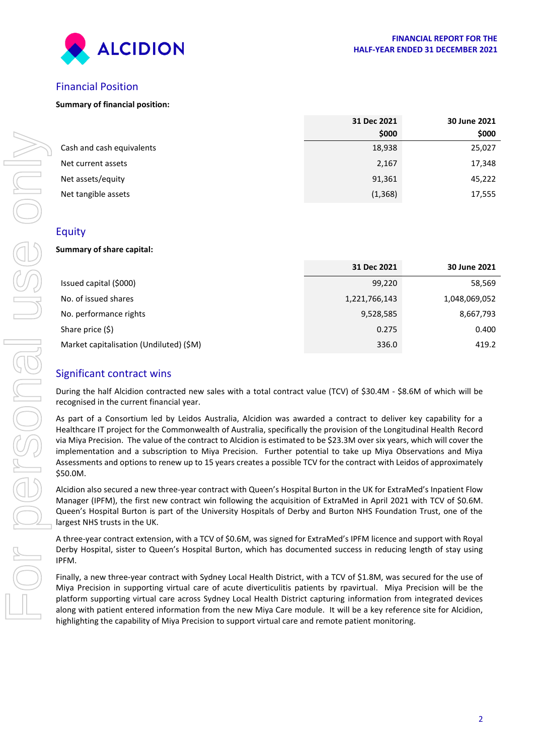

# Financial Position

#### **Summary of financial position:**

|                           | 31 Dec 2021 | 30 June 2021 |
|---------------------------|-------------|--------------|
|                           | \$000       | \$000        |
| Cash and cash equivalents | 18,938      | 25,027       |
| Net current assets        | 2,167       | 17,348       |
| Net assets/equity         | 91,361      | 45,222       |
| Net tangible assets       | (1, 368)    | 17,555       |
|                           |             |              |

#### Equity

#### **Summary of share capital:**

|                                                                                                                                                                                                                                                                                                                                                                                                                                                                                                                                                                                                                            | ຸລຸບບບ        | ຸລຸບບບ        |
|----------------------------------------------------------------------------------------------------------------------------------------------------------------------------------------------------------------------------------------------------------------------------------------------------------------------------------------------------------------------------------------------------------------------------------------------------------------------------------------------------------------------------------------------------------------------------------------------------------------------------|---------------|---------------|
| Cash and cash equivalents                                                                                                                                                                                                                                                                                                                                                                                                                                                                                                                                                                                                  | 18,938        | 25,027        |
| Net current assets                                                                                                                                                                                                                                                                                                                                                                                                                                                                                                                                                                                                         | 2,167         | 17,348        |
| Net assets/equity                                                                                                                                                                                                                                                                                                                                                                                                                                                                                                                                                                                                          | 91,361        | 45,222        |
| Net tangible assets                                                                                                                                                                                                                                                                                                                                                                                                                                                                                                                                                                                                        | (1, 368)      | 17,555        |
|                                                                                                                                                                                                                                                                                                                                                                                                                                                                                                                                                                                                                            |               |               |
| Equity                                                                                                                                                                                                                                                                                                                                                                                                                                                                                                                                                                                                                     |               |               |
| Summary of share capital:                                                                                                                                                                                                                                                                                                                                                                                                                                                                                                                                                                                                  |               |               |
|                                                                                                                                                                                                                                                                                                                                                                                                                                                                                                                                                                                                                            | 31 Dec 2021   | 30 June 2021  |
| Issued capital (\$000)                                                                                                                                                                                                                                                                                                                                                                                                                                                                                                                                                                                                     | 99,220        | 58,569        |
| No. of issued shares                                                                                                                                                                                                                                                                                                                                                                                                                                                                                                                                                                                                       | 1,221,766,143 | 1,048,069,052 |
| No. performance rights                                                                                                                                                                                                                                                                                                                                                                                                                                                                                                                                                                                                     | 9,528,585     | 8,667,793     |
| Share price (\$)                                                                                                                                                                                                                                                                                                                                                                                                                                                                                                                                                                                                           | 0.275         | 0.400         |
| Market capitalisation (Undiluted) (\$M)                                                                                                                                                                                                                                                                                                                                                                                                                                                                                                                                                                                    | 336.0         | 419.2         |
| <b>Significant contract wins</b>                                                                                                                                                                                                                                                                                                                                                                                                                                                                                                                                                                                           |               |               |
| During the half Alcidion contracted new sales with a total contract value (TCV) of \$30.4M - \$8.6M of which will be<br>recognised in the current financial year.                                                                                                                                                                                                                                                                                                                                                                                                                                                          |               |               |
| As part of a Consortium led by Leidos Australia, Alcidion was awarded a contract to deliver key capability for a<br>Healthcare IT project for the Commonwealth of Australia, specifically the provision of the Longitudinal Health Record<br>via Miya Precision. The value of the contract to Alcidion is estimated to be \$23.3M over six years, which will cover the<br>implementation and a subscription to Miya Precision. Further potential to take up Miya Observations and Miya<br>Assessments and options to renew up to 15 years creates a possible TCV for the contract with Leidos of approximately<br>\$50.0M. |               |               |
| Alcidion also secured a new three-year contract with Queen's Hospital Burton in the UK for ExtraMed's Inpatient Flow<br>Manager (IPFM), the first new contract win following the acquisition of ExtraMed in April 2021 with TCV of \$0.6M.<br>Queen's Hospital Burton is part of the University Hospitals of Derby and Burton NHS Foundation Trust, one of the<br>largest NHS trusts in the UK.                                                                                                                                                                                                                            |               |               |
| A three-year contract extension, with a TCV of \$0.6M, was signed for ExtraMed's IPFM licence and support with Royal<br>Derby Hospital, sister to Queen's Hospital Burton, which has documented success in reducing length of stay using<br>IPFM.                                                                                                                                                                                                                                                                                                                                                                          |               |               |
| Finally, a new three-year contract with Sydney Local Health District, with a TCV of \$1.8M, was secured for the use of<br>Miya Precision in supporting virtual care of acute diverticulitis patients by rpavirtual. Miya Precision will be the<br>platform supporting virtual care across Sydney Local Health District capturing information from integrated devices<br>along with patient entered information from the new Miya Care module. It will be a key reference site for Alcidion,<br>highlighting the capability of Miya Precision to support virtual care and remote patient monitoring.                        |               |               |

### Significant contract wins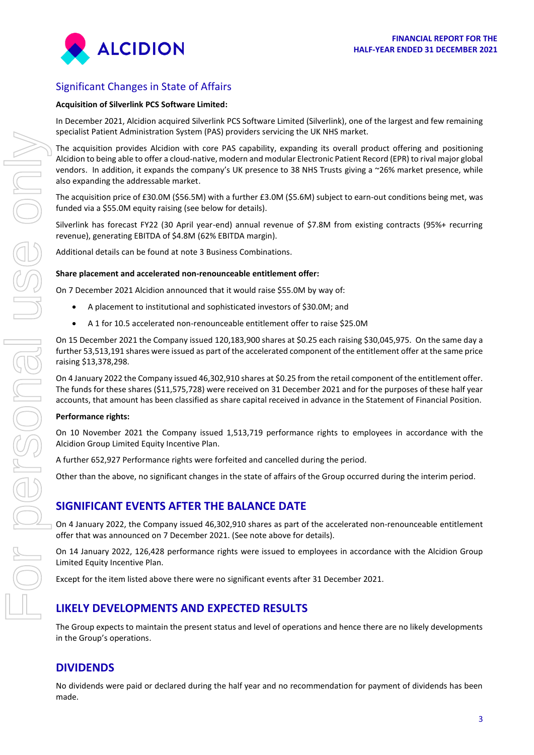

# Significant Changes in State of Affairs

#### **Acquisition of Silverlink PCS Software Limited:**

In December 2021, Alcidion acquired Silverlink PCS Software Limited (Silverlink), one of the largest and few remaining specialist Patient Administration System (PAS) providers servicing the UK NHS market.

The acquisition provides Alcidion with core PAS capability, expanding its overall product offering and positioning Alcidion to being able to offer a cloud-native, modern and modular Electronic Patient Record (EPR) to rival major global vendors. In addition, it expands the company's UK presence to 38 NHS Trusts giving a ~26% market presence, while also expanding the addressable market.

The acquisition price of £30.0M (\$56.5M) with a further £3.0M (\$5.6M) subject to earn-out conditions being met, was funded via a \$55.0M equity raising (see below for details).

Silverlink has forecast FY22 (30 April year-end) annual revenue of \$7.8M from existing contracts (95%+ recurring revenue), generating EBITDA of \$4.8M (62% EBITDA margin).

Additional details can be found at note 3 Business Combinations.

#### **Share placement and accelerated non-renounceable entitlement offer:**

On 7 December 2021 Alcidion announced that it would raise \$55.0M by way of:

- A placement to institutional and sophisticated investors of \$30.0M; and
- A 1 for 10.5 accelerated non-renounceable entitlement offer to raise \$25.0M

On 15 December 2021 the Company issued 120,183,900 shares at \$0.25 each raising \$30,045,975. On the same day a further 53,513,191 shares were issued as part of the accelerated component of the entitlement offer at the same price raising \$13,378,298.

On 4 January 2022 the Company issued 46,302,910 shares at \$0.25 from the retail component of the entitlement offer. The funds for these shares (\$11,575,728) were received on 31 December 2021 and for the purposes of these half year accounts, that amount has been classified as share capital received in advance in the Statement of Financial Position.

#### **Performance rights:**

On 10 November 2021 the Company issued 1,513,719 performance rights to employees in accordance with the Alcidion Group Limited Equity Incentive Plan.

A further 652,927 Performance rights were forfeited and cancelled during the period.

Other than the above, no significant changes in the state of affairs of the Group occurred during the interim period.

# **SIGNIFICANT EVENTS AFTER THE BALANCE DATE**

On 4 January 2022, the Company issued 46,302,910 shares as part of the accelerated non-renounceable entitlement offer that was announced on 7 December 2021. (See note above for details).

On 14 January 2022, 126,428 performance rights were issued to employees in accordance with the Alcidion Group Limited Equity Incentive Plan.

Except for the item listed above there were no significant events after 31 December 2021.

# **LIKELY DEVELOPMENTS AND EXPECTED RESULTS**

The Group expects to maintain the present status and level of operations and hence there are no likely developments in the Group's operations.

# **DIVIDENDS**

No dividends were paid or declared during the half year and no recommendation for payment of dividends has been made.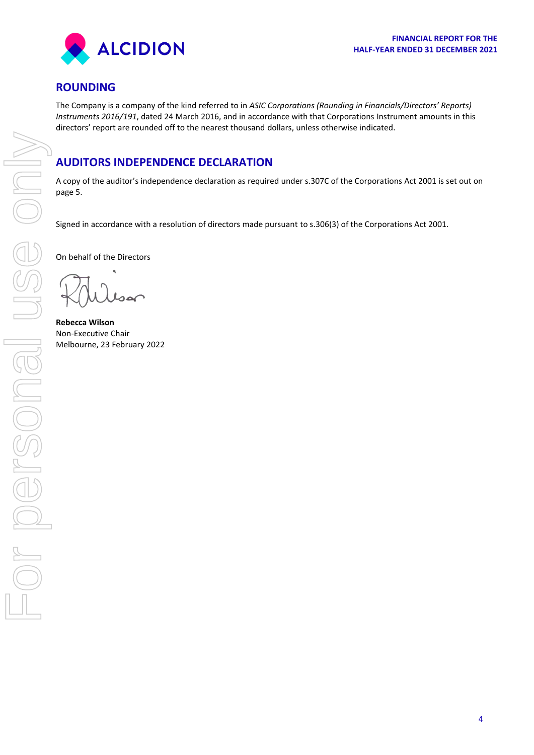

# **ROUNDING**

The Company is a company of the kind referred to in *ASIC Corporations (Rounding in Financials/Directors' Reports) Instruments 2016/191*, dated 24 March 2016, and in accordance with that Corporations Instrument amounts in this directors' report are rounded off to the nearest thousand dollars, unless otherwise indicated.

# **AUDITORS INDEPENDENCE DECLARATION**

A copy of the auditor's independence declaration as required under s.307C of the Corporations Act 2001 is set out on page 5.

Signed in accordance with a resolution of directors made pursuant to s.306(3) of the Corporations Act 2001.

On behalf of the Directors

**Rebecca Wilson** Non-Executive Chair Melbourne, 23 February 2022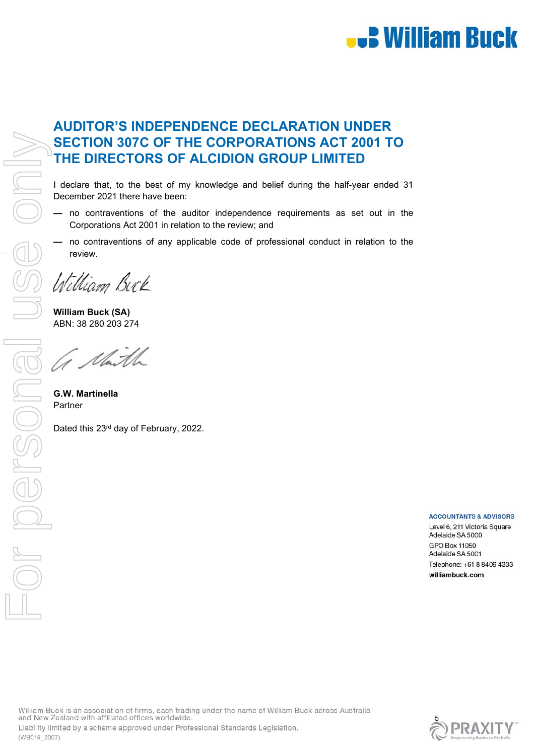

# **AUDITOR'S INDEPENDENCE DECLARATION UNDER SECTION 307C OF THE CORPORATIONS ACT 2001 TO THE DIRECTORS OF ALCIDION GROUP LIMITED**

December 2021 there have been:

- no contraventions of the auditor independence requirements as set out in the Corporations Act 2001 in relation to the review; and
- no contraventions of any applicable code of professional conduct in relation to the

William Buck

**William Buck (SA)**  ABN: 38 280 203 274

1 Marth

**G.W. Martinella** 

Dated this 23<sup>rd</sup> day of February, 2022.

#### **ACCOUNTANTS & ADVISORS**

Level 6, 211 Victoria Square Adelaide SA 5000 **GPO Box 11050** Adelaide SA 5001 Telephone: +61 8 8409 4333 williambuck.com

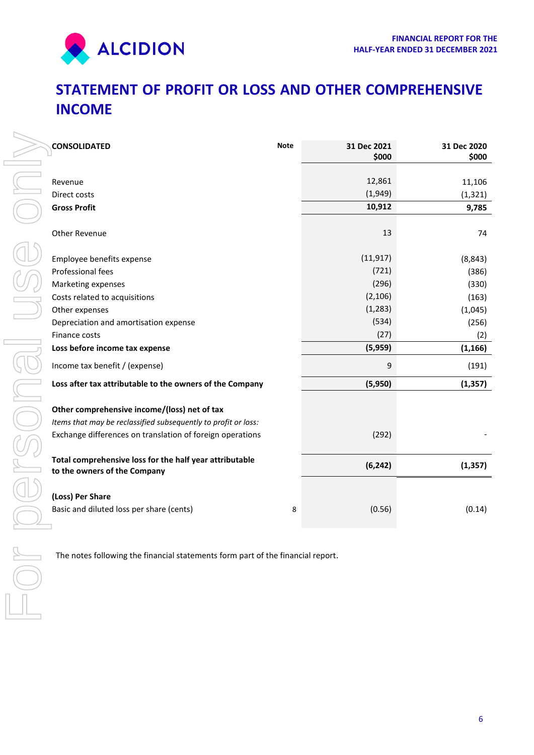

**\$000** 

# <span id="page-8-0"></span>**STATEMENT OF PROFIT OR LOSS AND OTHER COMPREHENSIVE INCOME**

| <b>CONSOLIDATED</b>                                                                     | <b>Note</b> | 31 Dec 2021<br>\$000 | 31 Dec 2020<br>\$000 |
|-----------------------------------------------------------------------------------------|-------------|----------------------|----------------------|
| Revenue                                                                                 |             | 12,861               | 11,106               |
| Direct costs                                                                            |             | (1,949)              | (1, 321)             |
| <b>Gross Profit</b>                                                                     |             | 10,912               | 9,785                |
| Other Revenue                                                                           |             | 13                   | 74                   |
| Employee benefits expense                                                               |             | (11, 917)            | (8, 843)             |
| Professional fees                                                                       |             | (721)                | (386)                |
| Marketing expenses                                                                      |             | (296)                | (330)                |
| Costs related to acquisitions                                                           |             | (2, 106)             | (163)                |
| Other expenses                                                                          |             | (1, 283)             | (1,045)              |
| Depreciation and amortisation expense                                                   |             | (534)                | (256)                |
| Finance costs                                                                           |             | (27)                 | (2)                  |
| Loss before income tax expense                                                          |             | (5,959)              | (1, 166)             |
| Income tax benefit / (expense)                                                          |             | $\mathsf g$          | (191)                |
| Loss after tax attributable to the owners of the Company                                |             | (5,950)              | (1, 357)             |
| Other comprehensive income/(loss) net of tax                                            |             |                      |                      |
| Items that may be reclassified subsequently to profit or loss:                          |             |                      |                      |
| Exchange differences on translation of foreign operations                               |             | (292)                |                      |
| Total comprehensive loss for the half year attributable<br>to the owners of the Company |             | (6, 242)             | (1, 357)             |
| (Loss) Per Share                                                                        |             |                      |                      |
|                                                                                         |             |                      |                      |
| Basic and diluted loss per share (cents)                                                | 8           | (0.56)               | (0.14)               |
| The notes following the financial statements form part of the financial report.         |             |                      |                      |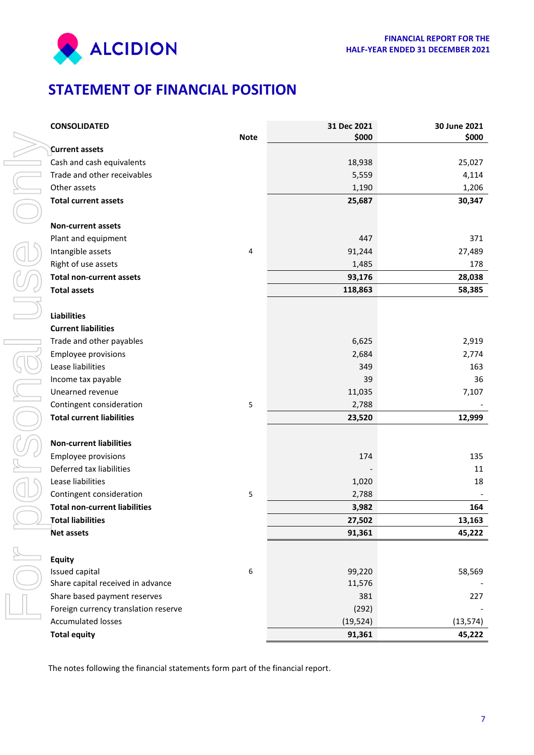



# <span id="page-9-0"></span>**STATEMENT OF FINANCIAL POSITION**

| <b>CONSOLIDATED</b>                                                             |             | 31 Dec 2021 | 30 June 2021 |
|---------------------------------------------------------------------------------|-------------|-------------|--------------|
|                                                                                 | <b>Note</b> | \$000       | \$000        |
| <b>Current assets</b>                                                           |             |             |              |
| Cash and cash equivalents                                                       |             | 18,938      | 25,027       |
| Trade and other receivables                                                     |             | 5,559       | 4,114        |
| Other assets                                                                    |             | 1,190       | 1,206        |
| <b>Total current assets</b>                                                     |             | 25,687      | 30,347       |
| <b>Non-current assets</b>                                                       |             |             |              |
| Plant and equipment                                                             |             | 447         | 371          |
| Intangible assets                                                               | 4           | 91,244      | 27,489       |
| Right of use assets                                                             |             | 1,485       | 178          |
| <b>Total non-current assets</b>                                                 |             | 93,176      | 28,038       |
| <b>Total assets</b>                                                             |             | 118,863     | 58,385       |
| <b>Liabilities</b>                                                              |             |             |              |
| <b>Current liabilities</b>                                                      |             |             |              |
| Trade and other payables                                                        |             | 6,625       | 2,919        |
| <b>Employee provisions</b>                                                      |             | 2,684       | 2,774        |
| Lease liabilities                                                               |             | 349         | 163          |
| Income tax payable                                                              |             | 39          | 36           |
| Unearned revenue                                                                |             | 11,035      | 7,107        |
| Contingent consideration                                                        | 5           | 2,788       |              |
| <b>Total current liabilities</b>                                                |             | 23,520      | 12,999       |
| <b>Non-current liabilities</b>                                                  |             |             |              |
| <b>Employee provisions</b>                                                      |             | 174         | 135          |
| Deferred tax liabilities                                                        |             |             | 11           |
| Lease liabilities                                                               |             | 1,020       | 18           |
| Contingent consideration                                                        | 5           | 2,788       |              |
| <b>Total non-current liabilities</b>                                            |             | 3,982       | 164          |
| <b>Total liabilities</b>                                                        |             | 27,502      | 13,163       |
| <b>Net assets</b>                                                               |             | 91,361      | 45,222       |
| <b>Equity</b>                                                                   |             |             |              |
| Issued capital                                                                  | 6           | 99,220      | 58,569       |
| Share capital received in advance                                               |             | 11,576      |              |
| Share based payment reserves                                                    |             | 381         | 227          |
| Foreign currency translation reserve                                            |             | (292)       |              |
| <b>Accumulated losses</b>                                                       |             | (19, 524)   | (13, 574)    |
| <b>Total equity</b>                                                             |             | 91,361      | 45,222       |
| The notes following the financial statements form part of the financial report. |             |             |              |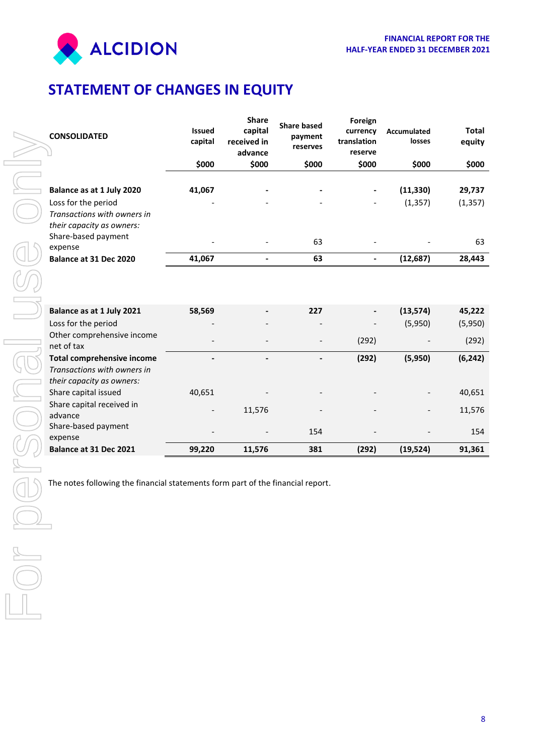

# <span id="page-10-0"></span>**STATEMENT OF CHANGES IN EQUITY**

|        | <b>CONSOLIDATED</b>                                                                                          | <b>Issued</b><br>capital | <b>Share</b><br>capital<br>received in<br>advance | <b>Share based</b><br>payment<br>reserves | Foreign<br>currency<br>translation<br>reserve | Accumulated<br>losses | <b>Total</b><br>equity |
|--------|--------------------------------------------------------------------------------------------------------------|--------------------------|---------------------------------------------------|-------------------------------------------|-----------------------------------------------|-----------------------|------------------------|
|        |                                                                                                              | \$000                    | \$000                                             | \$000                                     | \$000                                         | \$000                 | \$000                  |
|        | Balance as at 1 July 2020<br>Loss for the period<br>Transactions with owners in<br>their capacity as owners: | 41,067                   |                                                   |                                           |                                               | (11, 330)<br>(1, 357) | 29,737<br>(1, 357)     |
|        | Share-based payment<br>expense                                                                               |                          |                                                   | 63                                        |                                               |                       | 63                     |
|        | Balance at 31 Dec 2020                                                                                       | 41,067                   | $\blacksquare$                                    | 63                                        | $\blacksquare$                                | (12, 687)             | 28,443                 |
|        |                                                                                                              |                          |                                                   |                                           |                                               |                       |                        |
|        | Balance as at 1 July 2021                                                                                    | 58,569                   |                                                   | 227                                       |                                               | (13, 574)             | 45,222                 |
|        | Loss for the period                                                                                          |                          |                                                   |                                           |                                               | (5,950)               | (5,950)                |
|        | Other comprehensive income<br>net of tax                                                                     |                          |                                                   |                                           | (292)                                         |                       | (292)                  |
|        | <b>Total comprehensive income</b><br>Transactions with owners in<br>their capacity as owners:                |                          |                                                   | $\blacksquare$                            | (292)                                         | (5,950)               | (6, 242)               |
|        | Share capital issued                                                                                         | 40,651                   |                                                   |                                           |                                               |                       | 40,651                 |
|        | Share capital received in<br>advance                                                                         |                          | 11,576                                            |                                           |                                               |                       | 11,576                 |
|        | Share-based payment<br>expense                                                                               |                          |                                                   | 154                                       |                                               |                       | 154                    |
|        | Balance at 31 Dec 2021                                                                                       | 99,220                   | 11,576                                            | 381                                       | (292)                                         | (19, 524)             | 91,361                 |
| $\cup$ | The notes following the financial statements form part of the financial report.                              |                          |                                                   |                                           |                                               |                       |                        |
|        |                                                                                                              |                          |                                                   |                                           |                                               |                       |                        |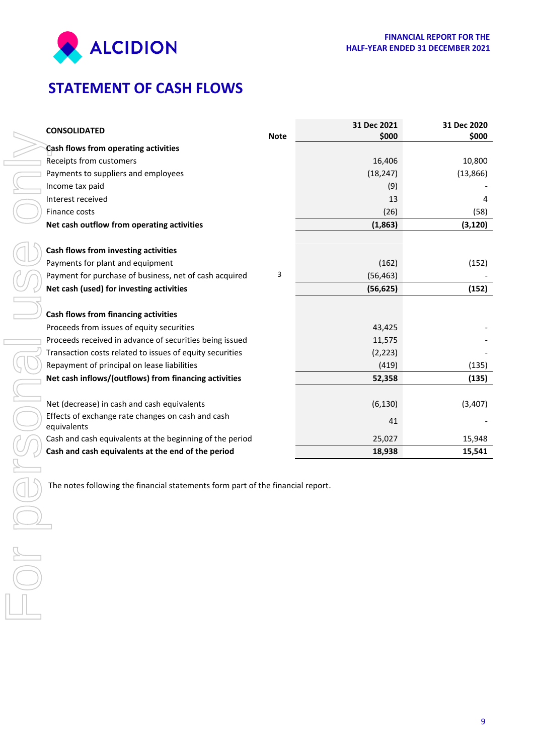

# <span id="page-11-0"></span>**STATEMENT OF CASH FLOWS**

<span id="page-11-1"></span>

|                          | <b>CONSOLIDATED</b>                                                             | <b>Note</b> | 31 Dec 2021<br>\$000 | 31 Dec 2020<br>\$000 |
|--------------------------|---------------------------------------------------------------------------------|-------------|----------------------|----------------------|
|                          | Cash flows from operating activities                                            |             |                      |                      |
|                          | Receipts from customers                                                         |             | 16,406               | 10,800               |
|                          | Payments to suppliers and employees                                             |             | (18, 247)            | (13, 866)            |
|                          | Income tax paid                                                                 |             | (9)                  |                      |
|                          | Interest received                                                               |             | 13                   | 4                    |
|                          | Finance costs                                                                   |             | (26)                 | (58)                 |
|                          | Net cash outflow from operating activities                                      |             | (1,863)              | (3, 120)             |
|                          |                                                                                 |             |                      |                      |
|                          | Cash flows from investing activities                                            |             |                      |                      |
|                          | Payments for plant and equipment                                                |             | (162)                | (152)                |
|                          | Payment for purchase of business, net of cash acquired                          | 3           | (56, 463)            |                      |
|                          | Net cash (used) for investing activities                                        |             | (56, 625)            | (152)                |
|                          |                                                                                 |             |                      |                      |
|                          | Cash flows from financing activities                                            |             |                      |                      |
|                          | Proceeds from issues of equity securities                                       |             | 43,425               |                      |
|                          | Proceeds received in advance of securities being issued                         |             | 11,575               |                      |
|                          | Transaction costs related to issues of equity securities                        |             | (2, 223)             |                      |
|                          | Repayment of principal on lease liabilities                                     |             | (419)                | (135)                |
|                          | Net cash inflows/(outflows) from financing activities                           |             | 52,358               | (135)                |
|                          | Net (decrease) in cash and cash equivalents                                     |             | (6, 130)             | (3,407)              |
|                          | Effects of exchange rate changes on cash and cash                               |             |                      |                      |
|                          | equivalents                                                                     |             | 41                   |                      |
|                          | Cash and cash equivalents at the beginning of the period                        |             | 25,027               | 15,948               |
|                          | Cash and cash equivalents at the end of the period                              |             | 18,938               | 15,541               |
|                          |                                                                                 |             |                      |                      |
|                          | The notes following the financial statements form part of the financial report. |             |                      |                      |
|                          |                                                                                 |             |                      |                      |
|                          |                                                                                 |             |                      |                      |
| $\overline{\phantom{a}}$ |                                                                                 |             |                      |                      |
|                          |                                                                                 |             |                      |                      |
|                          |                                                                                 |             |                      |                      |
|                          |                                                                                 |             |                      |                      |
| $\bigcirc$               |                                                                                 |             |                      |                      |
|                          |                                                                                 |             |                      |                      |
|                          |                                                                                 |             |                      |                      |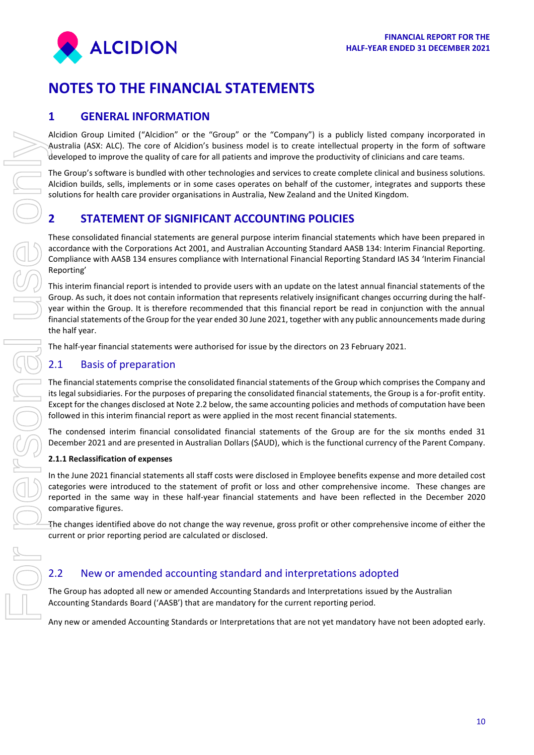

# **NOTES TO THE FINANCIAL STATEMENTS**

# **1 GENERAL INFORMATION**

Alcidion Group Limited ("Alcidion" or the "Group" or the "Company") is a publicly listed company incorporated in Australia (ASX: ALC). The core of Alcidion's business model is to create intellectual property in the form of software developed to improve the quality of care for all patients and improve the productivity of clinicians and care teams.

The Group's software is bundled with other technologies and services to create complete clinical and business solutions. Alcidion builds, sells, implements or in some cases operates on behalf of the customer, integrates and supports these solutions for health care provider organisations in Australia, New Zealand and the United Kingdom.

# **2 STATEMENT OF SIGNIFICANT ACCOUNTING POLICIES**

These consolidated financial statements are general purpose interim financial statements which have been prepared in accordance with the Corporations Act 2001, and Australian Accounting Standard AASB 134: Interim Financial Reporting. Compliance with AASB 134 ensures compliance with International Financial Reporting Standard IAS 34 'Interim Financial Reporting'

This interim financial report is intended to provide users with an update on the latest annual financial statements of the Group. As such, it does not contain information that represents relatively insignificant changes occurring during the halfyear within the Group. It is therefore recommended that this financial report be read in conjunction with the annual financial statements of the Group for the year ended 30 June 2021, together with any public announcements made during the half year. Nextro to the best princed (Nettron") or the "Cross" of the Cross" is a pointy in the diversion of the cross of the cross of the cross of the cross of the cross of the cross of the cross of the cross of the cross of the c

The half-year financial statements were authorised for issue by the directors on 23 February 2021.

# 2.1 Basis of preparation

The financial statements comprise the consolidated financial statements of the Group which comprises the Company and its legal subsidiaries. For the purposes of preparing the consolidated financial statements, the Group is a for-profit entity. Except for the changes disclosed at Note 2.2 below, the same accounting policies and methods of computation have been followed in this interim financial report as were applied in the most recent financial statements.

The condensed interim financial consolidated financial statements of the Group are for the six months ended 31 December 2021 and are presented in Australian Dollars (\$AUD), which is the functional currency of the Parent Company.

#### **2.1.1 Reclassification of expenses**

In the June 2021 financial statements all staff costs were disclosed in Employee benefits expense and more detailed cost categories were introduced to the statement of profit or loss and other comprehensive income. These changes are reported in the same way in these half-year financial statements and have been reflected in the December 2020 comparative figures.

The changes identified above do not change the way revenue, gross profit or other comprehensive income of either the current or prior reporting period are calculated or disclosed.

# 2.2 New or amended accounting standard and interpretations adopted

The Group has adopted all new or amended Accounting Standards and Interpretations issued by the Australian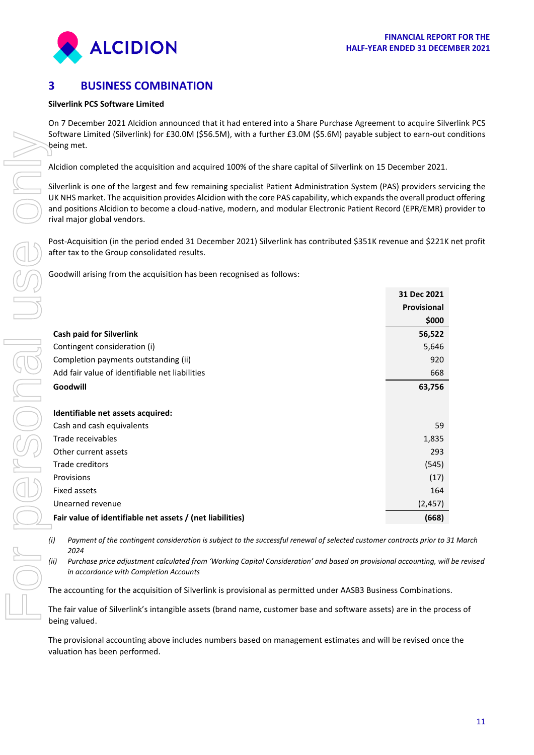

# **3 BUSINESS COMBINATION**

#### **Silverlink PCS Software Limited**

On 7 December 2021 Alcidion announced that it had entered into a Share Purchase Agreement to acquire Silverlink PCS Software Limited (Silverlink) for £30.0M (\$56.5M), with a further £3.0M (\$5.6M) payable subject to earn-out conditions being met.

Alcidion completed the acquisition and acquired 100% of the share capital of Silverlink on 15 December 2021.

Silverlink is one of the largest and few remaining specialist Patient Administration System (PAS) providers servicing the UK NHS market. The acquisition provides Alcidion with the core PAS capability, which expands the overall product offering and positions Alcidion to become a cloud-native, modern, and modular Electronic Patient Record (EPR/EMR) provider to rival major global vendors.

Post-Acquisition (in the period ended 31 December 2021) Silverlink has contributed \$351K revenue and \$221K net profit after tax to the Group consolidated results.

Goodwill arising from the acquisition has been recognised as follows:

|                                                                                                                                                                       | 31 Dec 2021        |
|-----------------------------------------------------------------------------------------------------------------------------------------------------------------------|--------------------|
|                                                                                                                                                                       | <b>Provisional</b> |
|                                                                                                                                                                       | \$000              |
| <b>Cash paid for Silverlink</b>                                                                                                                                       | 56,522             |
| Contingent consideration (i)                                                                                                                                          | 5,646              |
| Completion payments outstanding (ii)                                                                                                                                  | 920                |
| Add fair value of identifiable net liabilities                                                                                                                        | 668                |
| Goodwill                                                                                                                                                              | 63,756             |
| Identifiable net assets acquired:                                                                                                                                     |                    |
| Cash and cash equivalents                                                                                                                                             | 59                 |
| Trade receivables                                                                                                                                                     | 1,835              |
| Other current assets                                                                                                                                                  | 293                |
| Trade creditors                                                                                                                                                       | (545)              |
| Provisions                                                                                                                                                            | (17)               |
| Fixed assets                                                                                                                                                          | 164                |
| Unearned revenue                                                                                                                                                      | (2, 457)           |
| Fair value of identifiable net assets / (net liabilities)                                                                                                             | (668)              |
| Payment of the contingent consideration is subject to the successful renewal of selected customer contracts prior to 3<br>(i)<br>2024                                 |                    |
| (ii)<br>Purchase price adjustment calculated from 'Working Capital Consideration' and based on provisional accounting, wil.<br>in accordance with Completion Accounts |                    |
| The accounting for the acquisition of Silverlink is provisional as permitted under AASB3 Business Combinations                                                        |                    |
| The fair value of Silverlink's intangible assets (brand name, customer base and software assets) are in the prod<br>being valued.                                     |                    |
| The provisional accounting above includes numbers based on management estimates and will be revised once<br>valuation has been performed.                             |                    |

*(i) Payment of the contingent consideration is subject to the successful renewal of selected customer contracts prior to 31 March 2024*

*(ii) Purchase price adjustment calculated from 'Working Capital Consideration' and based on provisional accounting, will be revised in accordance with Completion Accounts*

The fair value of Silverlink's intangible assets (brand name, customer base and software assets) are in the process of being valued.

The provisional accounting above includes numbers based on management estimates and will be revised once the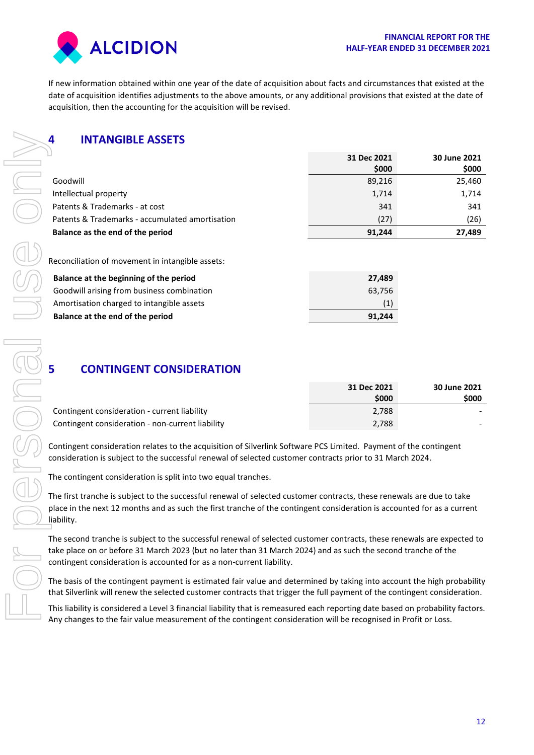

If new information obtained within one year of the date of acquisition about facts and circumstances that existed at the date of acquisition identifies adjustments to the above amounts, or any additional provisions that existed at the date of acquisition, then the accounting for the acquisition will be revised.

# **4 INTANGIBLE ASSETS**

| 4<br><b>INTANGIBLE ASSETS</b>                                                                                                                                                                                                                       |                 |                 |
|-----------------------------------------------------------------------------------------------------------------------------------------------------------------------------------------------------------------------------------------------------|-----------------|-----------------|
|                                                                                                                                                                                                                                                     | 31 Dec 2021     | 30 June 2021    |
| Goodwill                                                                                                                                                                                                                                            | \$000<br>89,216 | \$000<br>25,460 |
| Intellectual property                                                                                                                                                                                                                               | 1,714           | 1,714           |
| Patents & Trademarks - at cost                                                                                                                                                                                                                      | 341             | 341             |
| Patents & Trademarks - accumulated amortisation                                                                                                                                                                                                     | (27)            | (26)            |
| Balance as the end of the period                                                                                                                                                                                                                    | 91,244          | 27,489          |
|                                                                                                                                                                                                                                                     |                 |                 |
| Reconciliation of movement in intangible assets:                                                                                                                                                                                                    |                 |                 |
| Balance at the beginning of the period                                                                                                                                                                                                              | 27,489          |                 |
| Goodwill arising from business combination                                                                                                                                                                                                          | 63,756          |                 |
| Amortisation charged to intangible assets                                                                                                                                                                                                           | (1)             |                 |
| Balance at the end of the period                                                                                                                                                                                                                    | 91,244          |                 |
| <b>CONTINGENT CONSIDERATION</b><br>5                                                                                                                                                                                                                | 31 Dec 2021     | 30 June 2021    |
|                                                                                                                                                                                                                                                     | \$000           | \$000           |
| Contingent consideration - current liability                                                                                                                                                                                                        | 2,788           |                 |
| Contingent consideration - non-current liability                                                                                                                                                                                                    | 2,788           |                 |
| Contingent consideration relates to the acquisition of Silverlink Software PCS Limited. Payment of the contingent<br>consideration is subject to the successful renewal of selected customer contracts prior to 31 March 2024.                      |                 |                 |
| The contingent consideration is split into two equal tranches.                                                                                                                                                                                      |                 |                 |
| The first tranche is subject to the successful renewal of selected customer contracts, these renewals are due to take<br>place in the next 12 months and as such the first tranche of the contingent consideration is accounted for as a current    |                 |                 |
| liability.                                                                                                                                                                                                                                          |                 |                 |
| The second tranche is subject to the successful renewal of selected customer contracts, these renewals are expected to                                                                                                                              |                 |                 |
| take place on or before 31 March 2023 (but no later than 31 March 2024) and as such the second tranche of the<br>contingent consideration is accounted for as a non-current liability.                                                              |                 |                 |
| The basis of the contingent payment is estimated fair value and determined by taking into account the high probability<br>that Silverlink will renew the selected customer contracts that trigger the full payment of the contingent consideration. |                 |                 |
| This liability is considered a Level 3 financial liability that is remeasured each reporting date based on probability factors.<br>Any changes to the fair value measurement of the contingent consideration will be recognised in Profit or Loss.  |                 |                 |

| Balance at the beginning of the period     | 27.489 |
|--------------------------------------------|--------|
| Goodwill arising from business combination | 63.756 |
| Amortisation charged to intangible assets  | (1)    |
| Balance at the end of the period           | 91.244 |

# **5 CONTINGENT CONSIDERATION**

|                                                  | 31 Dec 2021 | <b>30 June 2021</b> |
|--------------------------------------------------|-------------|---------------------|
|                                                  | \$000       | \$000               |
| Contingent consideration - current liability     | 2.788       |                     |
| Contingent consideration - non-current liability | 2,788       |                     |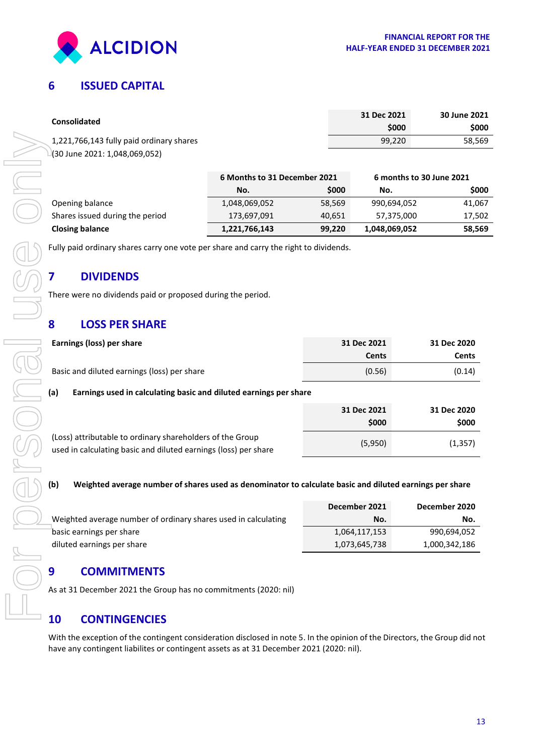

# **6 ISSUED CAPITAL**

| <b>Consolidated</b>                      | 31 Dec 2021<br>\$000 | 30 June 2021<br><b>SOOO</b> |
|------------------------------------------|----------------------|-----------------------------|
| 1,221,766,143 fully paid ordinary shares | 99.220               | 58.569                      |
| -(30 June 2021: 1,048,069,052)           |                      |                             |

|                                 | 6 Months to 31 December 2021 |        | 6 months to 30 June 2021 |        |
|---------------------------------|------------------------------|--------|--------------------------|--------|
|                                 | No.                          | \$000  | No.                      | \$000  |
| Opening balance                 | 1,048,069,052                | 58,569 | 990,694,052              | 41,067 |
| Shares issued during the period | 173,697,091                  | 40.651 | 57,375,000               | 17,502 |
| <b>Closing balance</b>          | 1,221,766,143                | 99,220 | 1,048,069,052            | 58,569 |

# **7 DIVIDENDS**

# **8 LOSS PER SHARE**

|                        | 1,221,766,143 fully paid ordinary shares                                                                                                                                                                             |                              |        | 99,220        | 58,56                    |
|------------------------|----------------------------------------------------------------------------------------------------------------------------------------------------------------------------------------------------------------------|------------------------------|--------|---------------|--------------------------|
|                        | (30 June 2021: 1,048,069,052)                                                                                                                                                                                        |                              |        |               |                          |
|                        |                                                                                                                                                                                                                      | 6 Months to 31 December 2021 |        |               | 6 months to 30 June 2021 |
|                        |                                                                                                                                                                                                                      | No.                          | \$000  | No.           | \$00                     |
| Opening balance        |                                                                                                                                                                                                                      | 1,048,069,052                | 58,569 | 990,694,052   | 41,0                     |
|                        | Shares issued during the period                                                                                                                                                                                      | 173,697,091                  | 40,651 | 57,375,000    | 17,50                    |
| <b>Closing balance</b> |                                                                                                                                                                                                                      | 1,221,766,143                | 99,220 | 1,048,069,052 | 58,56                    |
|                        | Fully paid ordinary shares carry one vote per share and carry the right to dividends.                                                                                                                                |                              |        |               |                          |
| 7                      | <b>DIVIDENDS</b>                                                                                                                                                                                                     |                              |        |               |                          |
|                        | There were no dividends paid or proposed during the period.                                                                                                                                                          |                              |        |               |                          |
| 8                      | <b>LOSS PER SHARE</b>                                                                                                                                                                                                |                              |        |               |                          |
|                        | Earnings (loss) per share                                                                                                                                                                                            |                              |        | 31 Dec 2021   | 31 Dec 2020              |
|                        |                                                                                                                                                                                                                      |                              |        | <b>Cents</b>  | <b>Cents</b>             |
|                        | Basic and diluted earnings (loss) per share                                                                                                                                                                          |                              |        | (0.56)        | (0.14)                   |
| (a)                    | Earnings used in calculating basic and diluted earnings per share                                                                                                                                                    |                              |        |               |                          |
|                        |                                                                                                                                                                                                                      |                              |        | 31 Dec 2021   | 31 Dec 2020              |
|                        |                                                                                                                                                                                                                      |                              |        | \$000         | \$000                    |
|                        | (Loss) attributable to ordinary shareholders of the Group<br>used in calculating basic and diluted earnings (loss) per share                                                                                         |                              |        | (5,950)       | (1, 357)                 |
| (b)                    | Weighted average number of shares used as denominator to calculate basic and diluted earnings per share                                                                                                              |                              |        |               |                          |
|                        |                                                                                                                                                                                                                      |                              |        | December 2021 | December 2020            |
|                        | Weighted average number of ordinary shares used in calculating                                                                                                                                                       |                              |        | No.           | No.                      |
|                        | basic earnings per share                                                                                                                                                                                             |                              |        | 1,064,117,153 | 990,694,052              |
|                        | diluted earnings per share                                                                                                                                                                                           |                              |        | 1,073,645,738 | 1,000,342,186            |
|                        |                                                                                                                                                                                                                      |                              |        |               |                          |
| 9                      | <b>COMMITMENTS</b>                                                                                                                                                                                                   |                              |        |               |                          |
|                        | As at 31 December 2021 the Group has no commitments (2020: nil)                                                                                                                                                      |                              |        |               |                          |
| <b>10</b>              | <b>CONTINGENCIES</b>                                                                                                                                                                                                 |                              |        |               |                          |
|                        | With the exception of the contingent consideration disclosed in note 5. In the opinion of the Directors, the Group did no<br>have any contingent liabilites or contingent assets as at 31 December 2021 (2020: nil). |                              |        |               |                          |

#### **(b) Weighted average number of shares used as denominator to calculate basic and diluted earnings per share**

|                                                                | December 2021 | December 2020 |
|----------------------------------------------------------------|---------------|---------------|
| Weighted average number of ordinary shares used in calculating | No.           | No.           |
| basic earnings per share                                       | 1,064,117,153 | 990,694,052   |
| diluted earnings per share                                     | 1,073,645,738 | 1,000,342,186 |

# **9 COMMITMENTS**

# **10 [CONTINGENCIES](https://www.google.com.au/search?safe=off&q=22.+CONTINGENCIES&spell=1&sa=X&ved=0ahUKEwja4bily47PAhVL9WMKHR47Dp4QvwUIGigA)**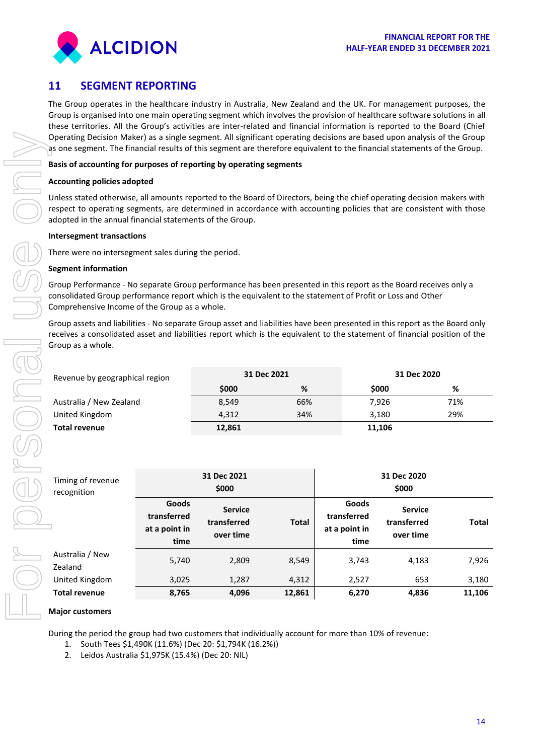

# **11 SEGMENT REPORTING**

The Group operates in the healthcare industry in Australia, New Zealand and the UK. For management purposes, the Group is organised into one main operating segment which involves the provision of healthcare software solutions in all these territories. All the Group's activities are inter-related and financial information is reported to the Board (Chief Operating Decision Maker) as a single segment. All significant operating decisions are based upon analysis of the Group as one segment. The financial results of this segment are therefore equivalent to the financial statements of the Group.

#### **Basis of accounting for purposes of reporting by operating segments**

#### **Accounting policies adopted**

Unless stated otherwise, all amounts reported to the Board of Directors, being the chief operating decision makers with respect to operating segments, are determined in accordance with accounting policies that are consistent with those adopted in the annual financial statements of the Group.

#### **Intersegment transactions**

There were no intersegment sales during the period.

#### **Segment information**

Group Performance - No separate Group performance has been presented in this report as the Board receives only a consolidated Group performance report which is the equivalent to the statement of Profit or Loss and Other Comprehensive Income of the Group as a whole.

Group assets and liabilities - No separate Group asset and liabilities have been presented in this report as the Board only receives a consolidated asset and liabilities report which is the equivalent to the statement of financial position of the Group as a whole.

| Revenue by geographical region | 31 Dec 2021 |     | 31 Dec 2020 |     |
|--------------------------------|-------------|-----|-------------|-----|
|                                | \$000       | %   | \$000       | %   |
| Australia / New Zealand        | 8,549       | 66% | 7.926       | 71% |
| United Kingdom                 | 4,312       | 34% | 3,180       | 29% |
| <b>Total revenue</b>           | 12,861      |     | 11,106      |     |

| Timing of revenue<br>recognition |                                               | 31 Dec 2021<br>\$000                       |              |                                               | 31 Dec 2020<br>\$000                       |              |  |
|----------------------------------|-----------------------------------------------|--------------------------------------------|--------------|-----------------------------------------------|--------------------------------------------|--------------|--|
|                                  | Goods<br>transferred<br>at a point in<br>time | <b>Service</b><br>transferred<br>over time | <b>Total</b> | Goods<br>transferred<br>at a point in<br>time | <b>Service</b><br>transferred<br>over time | <b>Total</b> |  |
| Australia / New<br>Zealand       | 5,740                                         | 2,809                                      | 8,549        | 3,743                                         | 4,183                                      | 7,926        |  |
| United Kingdom                   | 3,025                                         | 1,287                                      | 4,312        | 2,527                                         | 653                                        | 3,180        |  |
| <b>Total revenue</b>             | 8,765                                         | 4,096                                      | 12,861       | 6,270                                         | 4,836                                      | 11,106       |  |

#### **Major customers**

During the period the group had two customers that individually account for more than 10% of revenue:

- 1. South Tees \$1,490K (11.6%) (Dec 20: \$1,794K (16.2%))
- 2. Leidos Australia \$1,975K (15.4%) (Dec 20: NIL)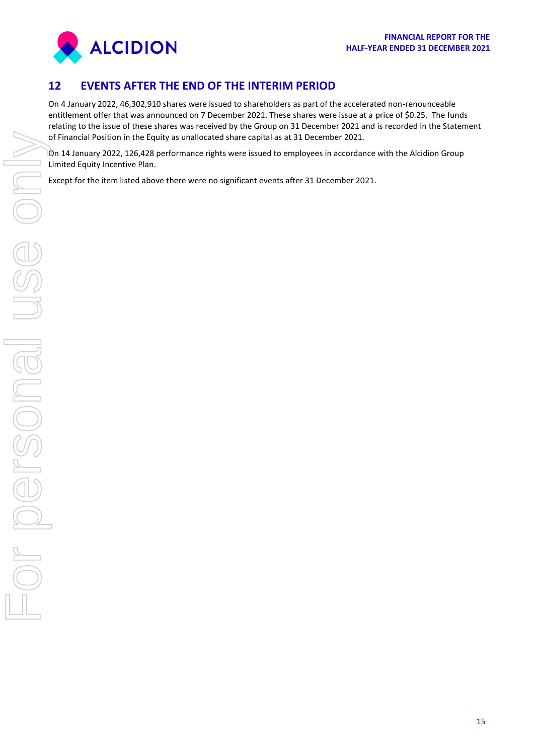

# **12 EVENTS AFTER THE END OF THE INTERIM PERIOD**

On 4 January 2022, 46,302,910 shares were issued to shareholders as part of the accelerated non-renounceable entitlement offer that was announced on 7 December 2021. These shares were issue at a price of \$0.25. The funds relating to the issue of these shares was received by the Group on 31 December 2021 and is recorded in the Statement of Financial Position in the Equity as unallocated share capital as at 31 December 2021.

On 14 January 2022, 126,428 performance rights were issued to employees in accordance with the Alcidion Group Limited Equity Incentive Plan.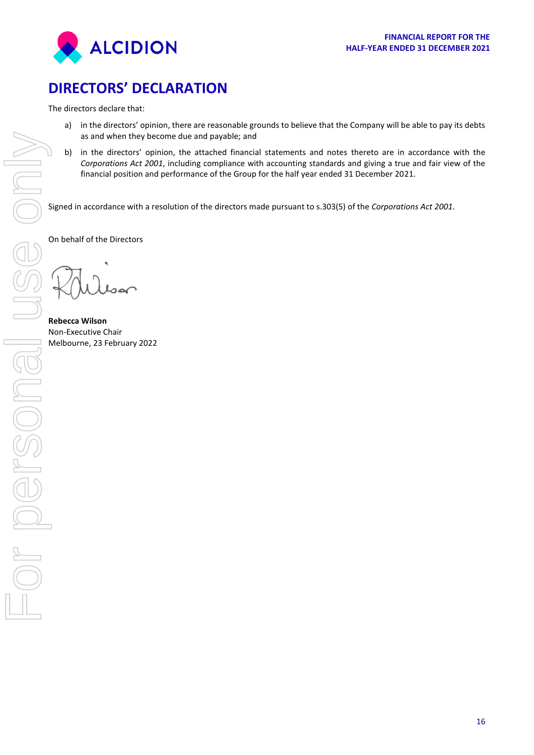

# <span id="page-18-0"></span>**DIRECTORS' DECLARATION**

The directors declare that:

- a) in the directors' opinion, there are reasonable grounds to believe that the Company will be able to pay its debts as and when they become due and payable; and
- b) in the directors' opinion, the attached financial statements and notes thereto are in accordance with the *Corporations Act 2001*, including compliance with accounting standards and giving a true and fair view of the financial position and performance of the Group for the half year ended 31 December 2021.

Signed in accordance with a resolution of the directors made pursuant to s.303(5) of the *Corporations Act 2001*.

On behalf of the Directors

**Rebecca Wilson** Non-Executive Chair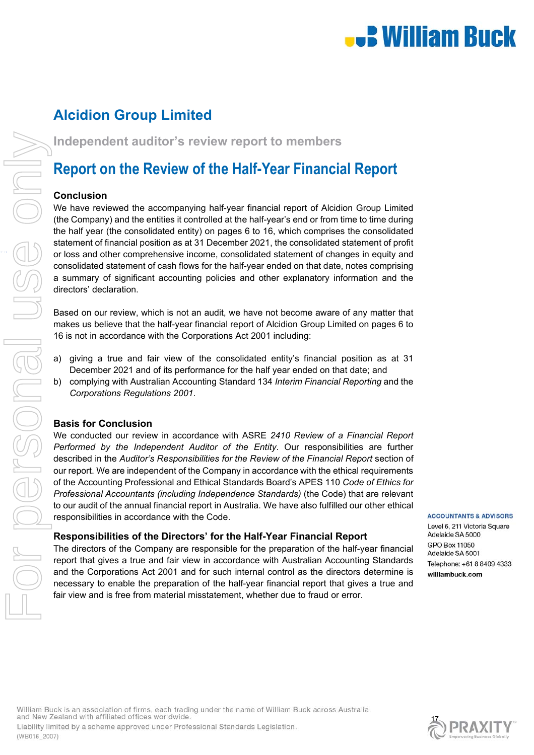# **.) William Buck**

# **Alcidion Group Limited**

# **Report on the Review of the Half-Year Financial Report**

### **Conclusion**

**Independent auditor's review report to members<br>
<b>Report on the Review of the Half-Year Financial<br>
Conclusion**<br>
We have reviewed the accompanying half-year financial report of Alcidi<br>
(the Company) and the entities it cont We have reviewed the accompanying half-year financial report of Alcidion Group Limited (the Company) and the entities it controlled at the half-year's end or from time to time during the half year (the consolidated entity) on pages 6 to 16, which comprises the consolidated statement of financial position as at 31 December 2021, the consolidated statement of profit or loss and other comprehensive income, consolidated statement of changes in equity and consolidated statement of cash flows for the half-year ended on that date, notes comprising a summary of significant accounting policies and other explanatory information and the directors' declaration.

> Based on our review, which is not an audit, we have not become aware of any matter that makes us believe that the half-year financial report of Alcidion Group Limited on pages 6 to 16 is not in accordance with the Corporations Act 2001 including:

- a) giving a true and fair view of the consolidated entity's financial position as at 31 December 2021 and of its performance for the half year ended on that date; and
- b) complying with Australian Accounting Standard 134 *Interim Financial Reporting* and the *Corporations Regulations 2001*.

# **Basis for Conclusion**

We conducted our review in accordance with ASRE *2410 Review of a Financial Report Performed by the Independent Auditor of the Entity*. Our responsibilities are further described in the *Auditor's Responsibilities for the Review of the Financial Report* section of our report. We are independent of the Company in accordance with the ethical requirements of the Accounting Professional and Ethical Standards Board's APES 110 *Code of Ethics for Professional Accountants (including Independence Standards)* (the Code) that are relevant to our audit of the annual financial report in Australia. We have also fulfilled our other ethical responsibilities in accordance with the Code.

### **Responsibilities of the Directors' for the Half-Year Financial Report**

The directors of the Company are responsible for the preparation of the half-year financial report that gives a true and fair view in accordance with Australian Accounting Standards and the Corporations Act 2001 and for such internal control as the directors determine is necessary to enable the preparation of the half-year financial report that gives a true and fair view and is free from material misstatement, whether due to fraud or error.

**ACCOUNTANTS & ADVISORS** 

Level 6, 211 Victoria Square Adelaide SA 5000 GPO Box 11050 Adelaide SA 5001 Telephone: +61 8 8409 4333 williambuck.com

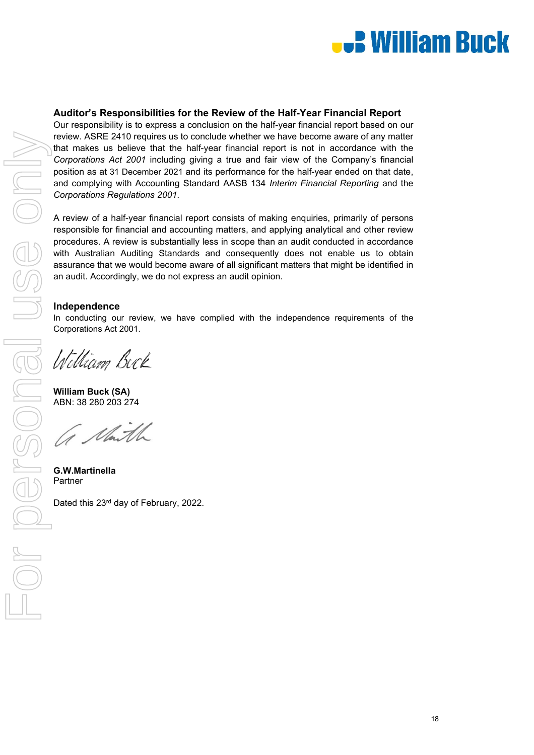

# **Auditor's Responsibilities for the Review of the Half-Year Financial Report**

Our responsibility is to express a conclusion on the half-year financial report based on our review. ASRE 2410 requires us to conclude whether we have become aware of any matter that makes us believe that the half-year financial report is not in accordance with the *Corporations Act 2001* including giving a true and fair view of the Company's financial position as at 31 December 2021 and its performance for the half-year ended on that date, and complying with Accounting Standard AASB 134 *Interim Financial Reporting* and the *Corporations Regulations 2001*.

A review of a half-year financial report consists of making enquiries, primarily of persons responsible for financial and accounting matters, and applying analytical and other review procedures. A review is substantially less in scope than an audit conducted in accordance with Australian Auditing Standards and consequently does not enable us to obtain assurance that we would become aware of all significant matters that might be identified in an audit. Accordingly, we do not express an audit opinion.

# **Independence**

In conducting our review, we have complied with the independence requirements of the Corporations Act 2001.

William Buck

**William Buck (SA)**  ABN: 38 280 203 274

G Maith

**G.W.Martinella** 

Dated this 23rd day of February, 2022.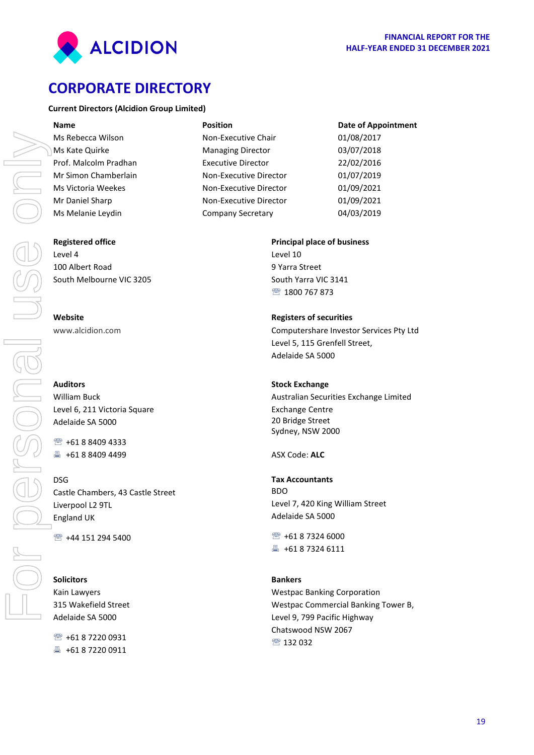

# <span id="page-21-0"></span>**CORPORATE DIRECTORY**

#### **Current Directors (Alcidion Group Limited)**

| <b>Name</b>           | <b>Position</b>           | <b>Date of Appointment</b> |
|-----------------------|---------------------------|----------------------------|
| Ms Rebecca Wilson     | Non-Executive Chair       | 01/08/2017                 |
| Ms Kate Quirke        | <b>Managing Director</b>  | 03/07/2018                 |
| Prof. Malcolm Pradhan | <b>Executive Director</b> | 22/02/2016                 |
| Mr Simon Chamberlain  | Non-Executive Director    | 01/07/2019                 |
| Ms Victoria Weekes    | Non-Executive Director    | 01/09/2021                 |
| Mr Daniel Sharp       | Non-Executive Director    | 01/09/2021                 |
| Ms Melanie Leydin     | <b>Company Secretary</b>  | 04/03/2019                 |

#### **Registered office**

Level 4 100 Albert Road South Melbourne VIC 3205

[www.alcidion.com](http://www.alcidion.com/)

#### **Auditors**

William Buck Level 6, 211 Victoria Square Adelaide SA 5000

● +61 8 8409 4333 ■ +61 8 8409 4499

### DSG

Castle Chambers, 43 Castle Street Liverpool L2 9TL England UK

● +44 151 294 5400

#### **Solicitors**

Kain Lawyers 315 Wakefield Street Adelaide SA 5000

■ +61 8 7220 0931 4 + 61 8 7220 0911

#### **Principal place of business**

Level 10 9 Yarra Street South Yarra VIC 3141 1800 767 873

#### **Registers of securities**

Computershare Investor Services Pty Ltd Level 5, 115 Grenfell Street, Adelaide SA 5000

#### **Stock Exchange**

Australian Securities Exchange Limited Exchange Centre 20 Bridge Street Sydney, NSW 2000

ASX Code: **ALC**

#### **Tax Accountants** BDO

Level 7, 420 King William Street Adelaide SA 5000

<sup>1</sup> + 61 8 7324 6000 +61 8 7324 6111

#### **Bankers**

Westpac Banking Corporation Westpac Commercial Banking Tower B, Level 9, 799 Pacific Highway Chatswood NSW 2067 图 132 032